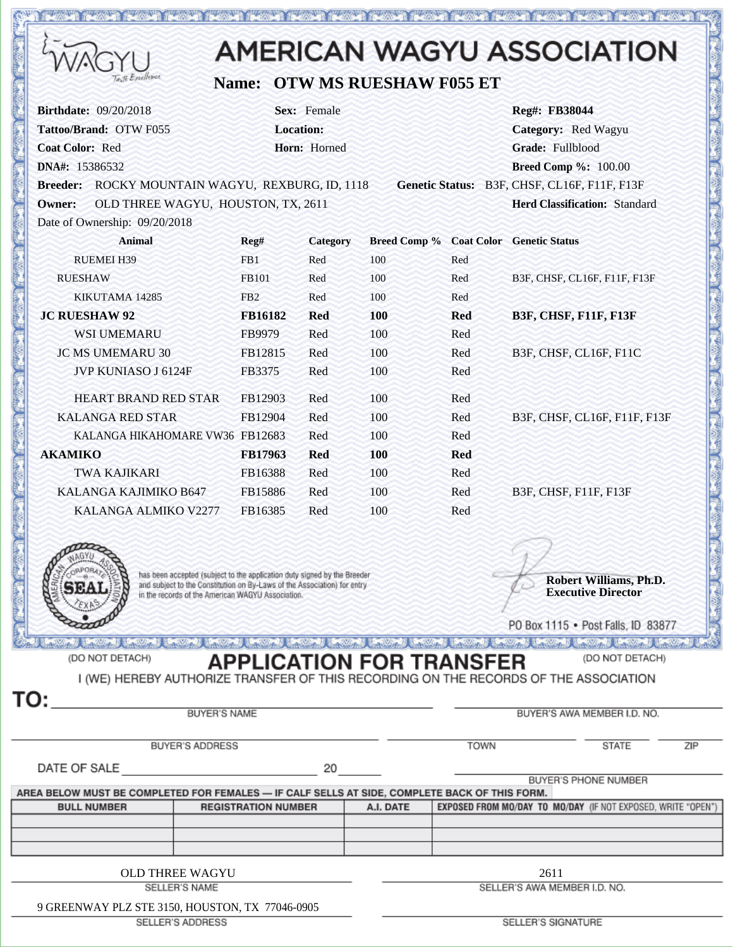|                                                                                                                                                                                                           |                            |                                                 |                                 |             | <b>AMERICAN WAGYU ASSOCIATION</b>                                                                                     |  |
|-----------------------------------------------------------------------------------------------------------------------------------------------------------------------------------------------------------|----------------------------|-------------------------------------------------|---------------------------------|-------------|-----------------------------------------------------------------------------------------------------------------------|--|
| Excellence                                                                                                                                                                                                |                            |                                                 | Name: OTW MS RUESHAW F055 ET    |             |                                                                                                                       |  |
| <b>Birthdate: 09/20/2018</b><br>Tattoo/Brand: OTW F055<br><b>Coat Color: Red</b><br>DNA#: 15386532                                                                                                        |                            | Sex: Female<br><b>Location:</b><br>Horn: Horned |                                 |             | Reg#: FB38044<br>Category: Red Wagyu<br>Grade: Fullblood<br><b>Breed Comp %: 100.00</b>                               |  |
| Breeder: ROCKY MOUNTAIN WAGYU, REXBURG, ID, 1118<br><b>Owner:</b><br>OLD THREE WAGYU, HOUSTON, TX, 2611                                                                                                   |                            |                                                 |                                 |             | Genetic Status: B3F, CHSF, CL16F, F11F, F13F<br><b>Herd Classification: Standard</b>                                  |  |
| Date of Ownership: 09/20/2018<br><b>Animal</b>                                                                                                                                                            | Reg#                       | <b>Category</b>                                 |                                 |             | Breed Comp % Coat Color Genetic Status                                                                                |  |
| <b>RUEMEI H39</b>                                                                                                                                                                                         | FB1                        | Red                                             | 100                             | Red         |                                                                                                                       |  |
| <b>RUESHAW</b>                                                                                                                                                                                            | FB101                      | Red                                             | 100                             | Red         | B3F, CHSF, CL16F, F11F, F13F                                                                                          |  |
| KIKUTAMA 14285                                                                                                                                                                                            | FB <sub>2</sub>            | Red                                             | 100                             | Red         |                                                                                                                       |  |
| <b>JC RUESHAW 92</b>                                                                                                                                                                                      | FB16182                    | <b>Red</b>                                      | 100                             | <b>Red</b>  | <b>B3F, CHSF, F11F, F13F</b>                                                                                          |  |
| <b>WSI UMEMARU</b>                                                                                                                                                                                        | FB9979                     | Red                                             | 100                             | Red         |                                                                                                                       |  |
| <b>JC MS UMEMARU 30</b>                                                                                                                                                                                   | FB12815                    | Red                                             | 100                             | Red         | B3F, CHSF, CL16F, F11C                                                                                                |  |
| JVP KUNIASO J 6124F                                                                                                                                                                                       | FB3375                     | Red                                             | 100                             | Red         |                                                                                                                       |  |
| <b>HEART BRAND RED STAR</b>                                                                                                                                                                               | FB12903                    | Red                                             | 100                             | Red         |                                                                                                                       |  |
| <b>KALANGA RED STAR</b>                                                                                                                                                                                   | FB12904                    | Red                                             | 100                             | Red         | B3F, CHSF, CL16F, F11F, F13F                                                                                          |  |
| KALANGA HIKAHOMARE VW36 FB12683                                                                                                                                                                           |                            | Red                                             | 100                             | Red         |                                                                                                                       |  |
| <b>AKAMIKO</b>                                                                                                                                                                                            | FB17963                    | <b>Red</b>                                      | 100                             | <b>Red</b>  |                                                                                                                       |  |
| <b>TWA KAJIKARI</b>                                                                                                                                                                                       | FB16388                    | Red                                             | 100                             | Red         |                                                                                                                       |  |
| KALANGA KAJIMIKO B647                                                                                                                                                                                     | FB15886                    | Red                                             | 100                             | Red         | B3F, CHSF, F11F, F13F                                                                                                 |  |
| KALANGA ALMIKO V2277                                                                                                                                                                                      | FB16385                    | Red                                             | 100                             | Red         |                                                                                                                       |  |
|                                                                                                                                                                                                           |                            |                                                 |                                 |             |                                                                                                                       |  |
| has been accepted (subject to the application duty signed by the Breeder<br>and subject to the Constitution on By-Laws of the Association) for entry<br>in the records of the American WAGYU Association. |                            |                                                 |                                 |             | Robert Williams, Ph.D.<br><b>Executive Director</b>                                                                   |  |
|                                                                                                                                                                                                           |                            |                                                 |                                 |             | PO Box 1115 . Post Falls, ID 83877                                                                                    |  |
| enwerd (enwerd (enwerd (enwerd (enwerd (enwerd (enwerd (enwerd                                                                                                                                            |                            |                                                 |                                 |             | <u> grave y provincia de la computación de la computación de la computación de la computación de la computación d</u> |  |
| (DO NOT DETACH)<br>I (WE) HEREBY AUTHORIZE TRANSFER OF THIS RECORDING ON THE RECORDS OF THE ASSOCIATION<br>TO:                                                                                            |                            |                                                 | <b>APPLICATION FOR TRANSFER</b> |             | (DO NOT DETACH)                                                                                                       |  |
| <b>BUYER'S NAME</b>                                                                                                                                                                                       |                            |                                                 |                                 |             | BUYER'S AWA MEMBER I.D. NO.                                                                                           |  |
| <b>BUYER'S ADDRESS</b>                                                                                                                                                                                    |                            |                                                 |                                 | <b>TOWN</b> | STATE<br>ZIP                                                                                                          |  |
| DATE OF SALE                                                                                                                                                                                              |                            | 20                                              |                                 |             | BUYER'S PHONE NUMBER                                                                                                  |  |
| AREA BELOW MUST BE COMPLETED FOR FEMALES - IF CALF SELLS AT SIDE, COMPLETE BACK OF THIS FORM.                                                                                                             |                            |                                                 |                                 |             |                                                                                                                       |  |
| <b>BULL NUMBER</b>                                                                                                                                                                                        | <b>REGISTRATION NUMBER</b> |                                                 | A.I. DATE                       |             | EXPOSED FROM MO/DAY TO MO/DAY (IF NOT EXPOSED, WRITE "OPEN")                                                          |  |
|                                                                                                                                                                                                           |                            |                                                 |                                 |             |                                                                                                                       |  |
|                                                                                                                                                                                                           |                            |                                                 |                                 |             |                                                                                                                       |  |
| <b>OLD THREE WAGYU</b>                                                                                                                                                                                    |                            |                                                 |                                 |             | 2611                                                                                                                  |  |
| <b>SELLER'S NAME</b>                                                                                                                                                                                      |                            |                                                 | SELLER'S AWA MEMBER I.D. NO.    |             |                                                                                                                       |  |

9 GREENWAY PLZ STE 3150, HOUSTON, TX 77046-0905

**BOUT** 

SELLER'S ADDRESS

SELLER'S SIGNATURE

**CASE DEASE DEA** 

m